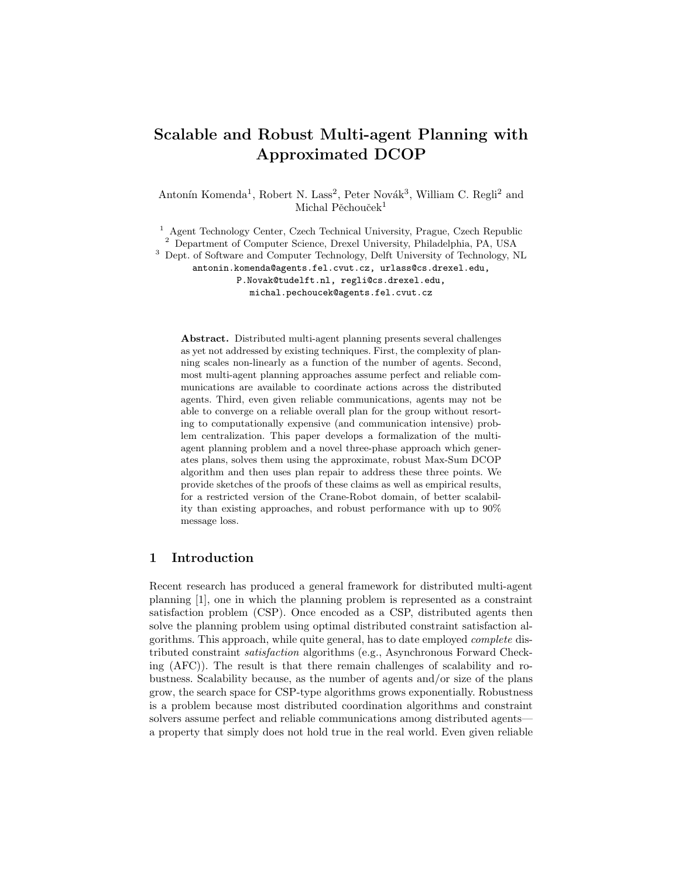# Scalable and Robust Multi-agent Planning with Approximated DCOP

Antonín Komenda<sup>1</sup>, Robert N. Lass<sup>2</sup>, Peter Novák<sup>3</sup>, William C. Regli<sup>2</sup> and Michal Pěchouček<sup>1</sup>

<sup>1</sup> Agent Technology Center, Czech Technical University, Prague, Czech Republic <sup>2</sup> Department of Computer Science, Drexel University, Philadelphia, PA, USA <sup>3</sup> Dept. of Software and Computer Technology, Delft University of Technology, NL antonin.komenda@agents.fel.cvut.cz, urlass@cs.drexel.edu, P.Novak@tudelft.nl, regli@cs.drexel.edu, michal.pechoucek@agents.fel.cvut.cz

Abstract. Distributed multi-agent planning presents several challenges as yet not addressed by existing techniques. First, the complexity of planning scales non-linearly as a function of the number of agents. Second, most multi-agent planning approaches assume perfect and reliable communications are available to coordinate actions across the distributed agents. Third, even given reliable communications, agents may not be able to converge on a reliable overall plan for the group without resorting to computationally expensive (and communication intensive) problem centralization. This paper develops a formalization of the multiagent planning problem and a novel three-phase approach which generates plans, solves them using the approximate, robust Max-Sum DCOP algorithm and then uses plan repair to address these three points. We provide sketches of the proofs of these claims as well as empirical results, for a restricted version of the Crane-Robot domain, of better scalability than existing approaches, and robust performance with up to 90% message loss.

# 1 Introduction

Recent research has produced a general framework for distributed multi-agent planning [1], one in which the planning problem is represented as a constraint satisfaction problem (CSP). Once encoded as a CSP, distributed agents then solve the planning problem using optimal distributed constraint satisfaction algorithms. This approach, while quite general, has to date employed complete distributed constraint satisfaction algorithms (e.g., Asynchronous Forward Checking (AFC)). The result is that there remain challenges of scalability and robustness. Scalability because, as the number of agents and/or size of the plans grow, the search space for CSP-type algorithms grows exponentially. Robustness is a problem because most distributed coordination algorithms and constraint solvers assume perfect and reliable communications among distributed agents a property that simply does not hold true in the real world. Even given reliable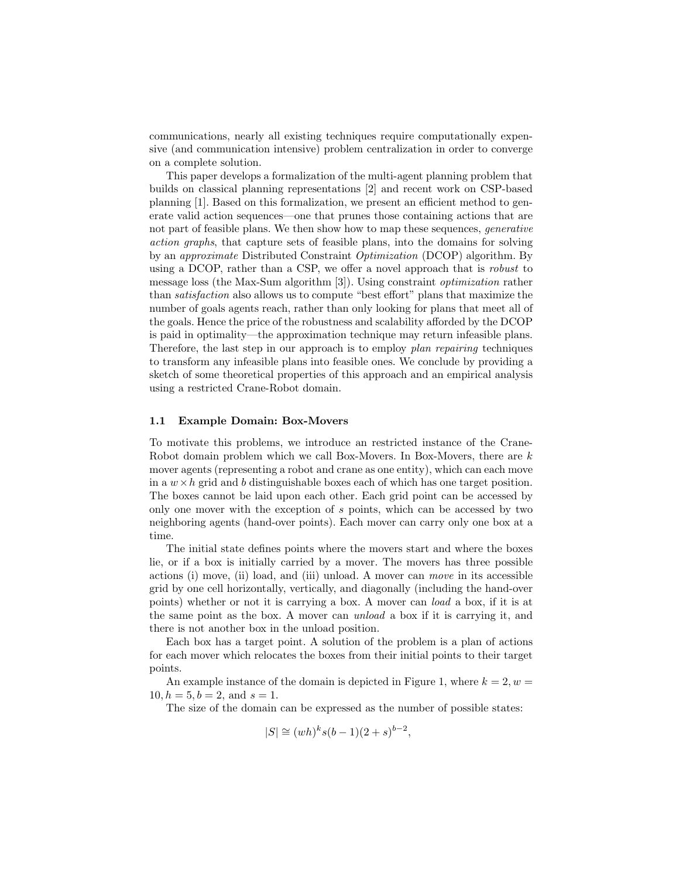communications, nearly all existing techniques require computationally expensive (and communication intensive) problem centralization in order to converge on a complete solution.

This paper develops a formalization of the multi-agent planning problem that builds on classical planning representations [2] and recent work on CSP-based planning [1]. Based on this formalization, we present an efficient method to generate valid action sequences—one that prunes those containing actions that are not part of feasible plans. We then show how to map these sequences, *generative* action graphs, that capture sets of feasible plans, into the domains for solving by an approximate Distributed Constraint Optimization (DCOP) algorithm. By using a DCOP, rather than a CSP, we offer a novel approach that is robust to message loss (the Max-Sum algorithm [3]). Using constraint optimization rather than satisfaction also allows us to compute "best effort" plans that maximize the number of goals agents reach, rather than only looking for plans that meet all of the goals. Hence the price of the robustness and scalability afforded by the DCOP is paid in optimality—the approximation technique may return infeasible plans. Therefore, the last step in our approach is to employ plan repairing techniques to transform any infeasible plans into feasible ones. We conclude by providing a sketch of some theoretical properties of this approach and an empirical analysis using a restricted Crane-Robot domain.

#### 1.1 Example Domain: Box-Movers

To motivate this problems, we introduce an restricted instance of the Crane-Robot domain problem which we call Box-Movers. In Box-Movers, there are k mover agents (representing a robot and crane as one entity), which can each move in a  $w \times h$  grid and b distinguishable boxes each of which has one target position. The boxes cannot be laid upon each other. Each grid point can be accessed by only one mover with the exception of s points, which can be accessed by two neighboring agents (hand-over points). Each mover can carry only one box at a time.

The initial state defines points where the movers start and where the boxes lie, or if a box is initially carried by a mover. The movers has three possible actions (i) move, (ii) load, and (iii) unload. A mover can move in its accessible grid by one cell horizontally, vertically, and diagonally (including the hand-over points) whether or not it is carrying a box. A mover can load a box, if it is at the same point as the box. A mover can unload a box if it is carrying it, and there is not another box in the unload position.

Each box has a target point. A solution of the problem is a plan of actions for each mover which relocates the boxes from their initial points to their target points.

An example instance of the domain is depicted in Figure 1, where  $k = 2, w =$  $10, h = 5, b = 2, \text{ and } s = 1.$ 

The size of the domain can be expressed as the number of possible states:

$$
|S| \cong (wh)^k s(b-1)(2+s)^{b-2},
$$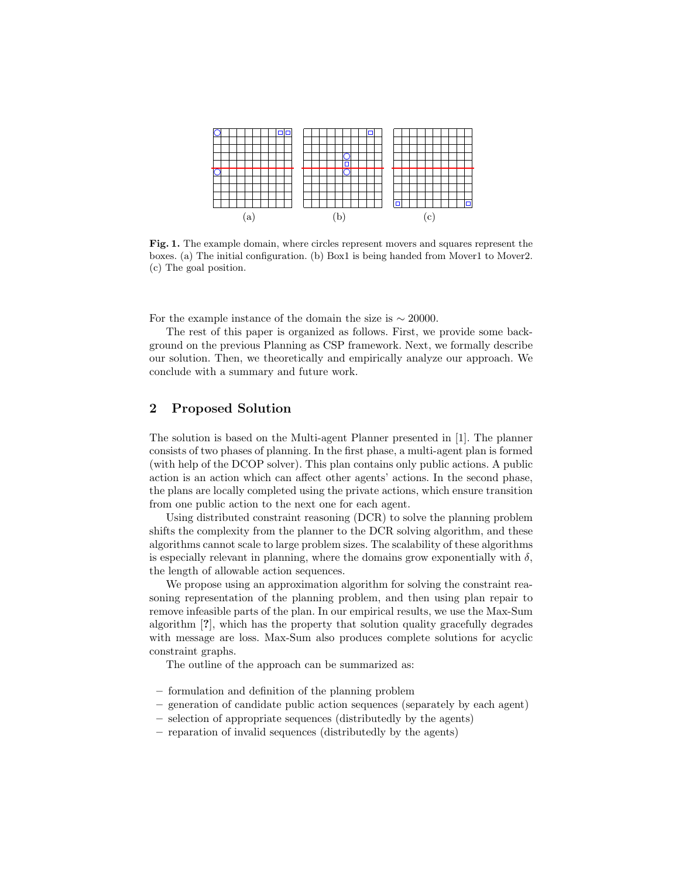

Fig. 1. The example domain, where circles represent movers and squares represent the boxes. (a) The initial configuration. (b) Box1 is being handed from Mover1 to Mover2. (c) The goal position.

For the example instance of the domain the size is  $\sim 20000$ .

The rest of this paper is organized as follows. First, we provide some background on the previous Planning as CSP framework. Next, we formally describe our solution. Then, we theoretically and empirically analyze our approach. We conclude with a summary and future work.

# 2 Proposed Solution

The solution is based on the Multi-agent Planner presented in [1]. The planner consists of two phases of planning. In the first phase, a multi-agent plan is formed (with help of the DCOP solver). This plan contains only public actions. A public action is an action which can affect other agents' actions. In the second phase, the plans are locally completed using the private actions, which ensure transition from one public action to the next one for each agent.

Using distributed constraint reasoning (DCR) to solve the planning problem shifts the complexity from the planner to the DCR solving algorithm, and these algorithms cannot scale to large problem sizes. The scalability of these algorithms is especially relevant in planning, where the domains grow exponentially with  $\delta$ . the length of allowable action sequences.

We propose using an approximation algorithm for solving the constraint reasoning representation of the planning problem, and then using plan repair to remove infeasible parts of the plan. In our empirical results, we use the Max-Sum algorithm [?], which has the property that solution quality gracefully degrades with message are loss. Max-Sum also produces complete solutions for acyclic constraint graphs.

The outline of the approach can be summarized as:

- formulation and definition of the planning problem
- generation of candidate public action sequences (separately by each agent)
- selection of appropriate sequences (distributedly by the agents)
- reparation of invalid sequences (distributedly by the agents)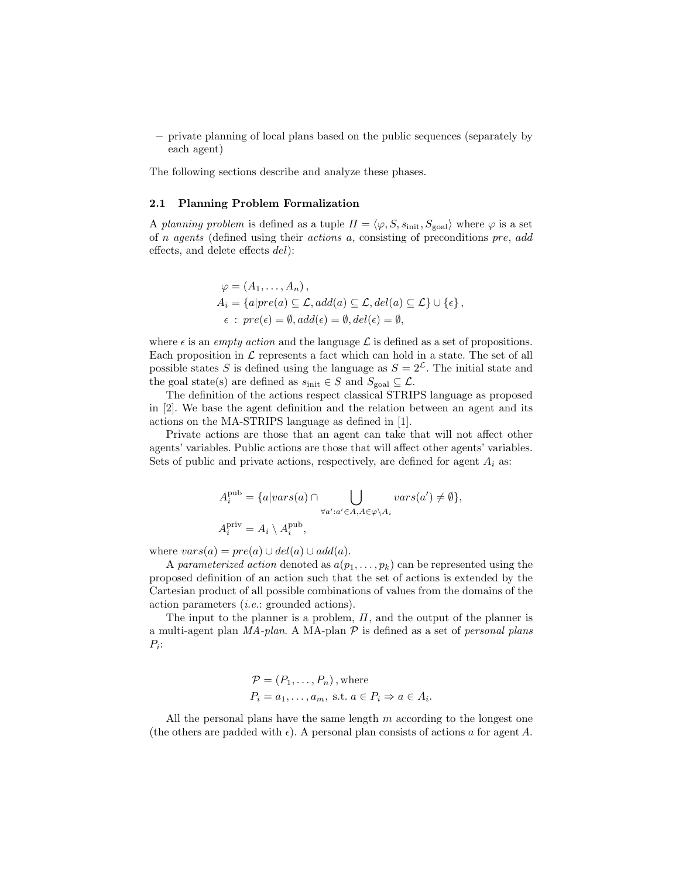– private planning of local plans based on the public sequences (separately by each agent)

The following sections describe and analyze these phases.

# 2.1 Planning Problem Formalization

A planning problem is defined as a tuple  $\Pi = \langle \varphi, S, s_{\text{init}}, S_{\text{goal}} \rangle$  where  $\varphi$  is a set of n agents (defined using their actions a, consisting of preconditions pre, add effects, and delete effects del):

$$
\varphi = (A_1, \dots, A_n),
$$
  
\n
$$
A_i = \{a|pre(a) \subseteq \mathcal{L}, add(a) \subseteq \mathcal{L}, del(a) \subseteq \mathcal{L}\} \cup \{\epsilon\},
$$
  
\n
$$
\epsilon : pre(\epsilon) = \emptyset, add(\epsilon) = \emptyset, del(\epsilon) = \emptyset,
$$

where  $\epsilon$  is an *empty action* and the language  $\mathcal L$  is defined as a set of propositions. Each proposition in  $\mathcal L$  represents a fact which can hold in a state. The set of all possible states S is defined using the language as  $S = 2<sup>\mathcal{L}</sup>$ . The initial state and the goal state(s) are defined as  $s_{\text{init}} \in S$  and  $S_{\text{goal}} \subseteq \mathcal{L}$ .

The definition of the actions respect classical STRIPS language as proposed in [2]. We base the agent definition and the relation between an agent and its actions on the MA-STRIPS language as defined in [1].

Private actions are those that an agent can take that will not affect other agents' variables. Public actions are those that will affect other agents' variables. Sets of public and private actions, respectively, are defined for agent  $A_i$  as:

$$
A_i^{\text{pub}} = \{a|vars(a) \cap \bigcup_{\forall a': a' \in A, A \in \varphi \backslash A_i} vars(a') \neq \emptyset\},\newline A_i^{\text{priv}} = A_i \setminus A_i^{\text{pub}},
$$

where  $vars(a) = pre(a) \cup del(a) \cup add(a)$ .

A parameterized action denoted as  $a(p_1, \ldots, p_k)$  can be represented using the proposed definition of an action such that the set of actions is extended by the Cartesian product of all possible combinations of values from the domains of the action parameters (i.e.: grounded actions).

The input to the planner is a problem,  $\Pi$ , and the output of the planner is a multi-agent plan  $MA$ -plan. A MA-plan  $P$  is defined as a set of personal plans  $P_i$ :

$$
\mathcal{P} = (P_1, \dots, P_n), \text{where}
$$
  

$$
P_i = a_1, \dots, a_m, \text{ s.t. } a \in P_i \Rightarrow a \in A_i.
$$

All the personal plans have the same length  $m$  according to the longest one (the others are padded with  $\epsilon$ ). A personal plan consists of actions a for agent A.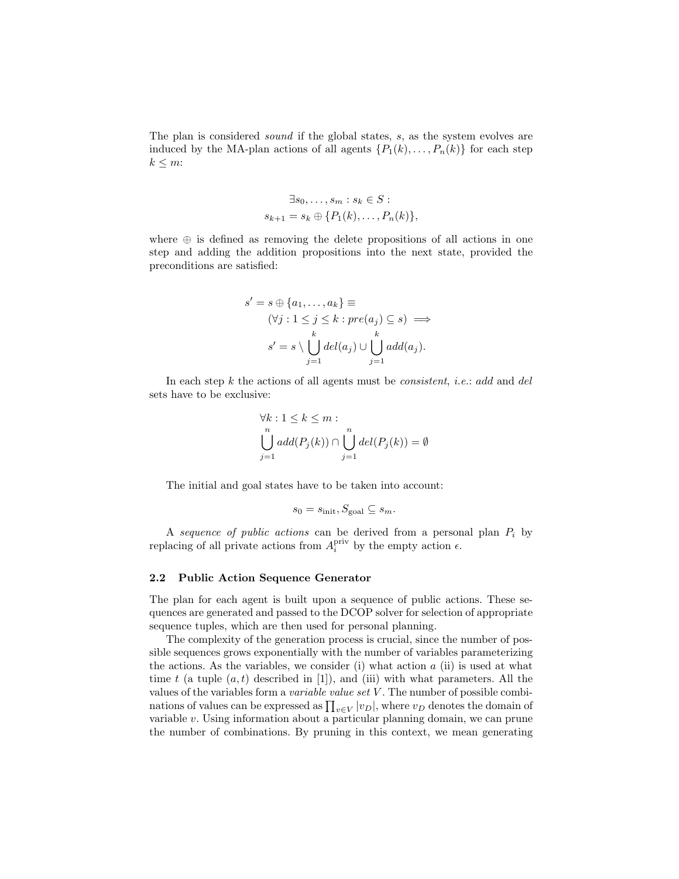The plan is considered *sound* if the global states, s, as the system evolves are induced by the MA-plan actions of all agents  $\{P_1(k), \ldots, P_n(k)\}\$ for each step  $k \leq m$ :

$$
\exists s_0, \dots, s_m : s_k \in S :
$$
  

$$
s_{k+1} = s_k \oplus \{P_1(k), \dots, P_n(k)\},
$$

where  $\oplus$  is defined as removing the delete propositions of all actions in one step and adding the addition propositions into the next state, provided the preconditions are satisfied:

$$
s' = s \oplus \{a_1, \dots, a_k\} \equiv
$$
  

$$
(\forall j : 1 \leq j \leq k : pre(a_j) \subseteq s) \implies
$$
  

$$
s' = s \setminus \bigcup_{j=1}^k del(a_j) \cup \bigcup_{j=1}^k add(a_j).
$$

In each step  $k$  the actions of all agents must be *consistent, i.e.*: add and del sets have to be exclusive:

$$
\forall k : 1 \le k \le m : \bigcup_{n=1}^{n} add(P_j(k)) \cap \bigcup_{j=1}^{n} del(P_j(k)) = \emptyset
$$

The initial and goal states have to be taken into account:

$$
s_0 = s_{\text{init}}, S_{\text{goal}} \subseteq s_m.
$$

A sequence of public actions can be derived from a personal plan  $P_i$  by replacing of all private actions from  $A_i^{\text{priv}}$  by the empty action  $\epsilon$ .

## 2.2 Public Action Sequence Generator

The plan for each agent is built upon a sequence of public actions. These sequences are generated and passed to the DCOP solver for selection of appropriate sequence tuples, which are then used for personal planning.

The complexity of the generation process is crucial, since the number of possible sequences grows exponentially with the number of variables parameterizing the actions. As the variables, we consider (i) what action  $a$  (ii) is used at what time t (a tuple  $(a, t)$  described in [1]), and (iii) with what parameters. All the values of the variables form a *variable value set V*. The number of possible combinations of values can be expressed as  $\prod_{v \in V} |v_D|$ , where  $v_D$  denotes the domain of variable v. Using information about a particular planning domain, we can prune the number of combinations. By pruning in this context, we mean generating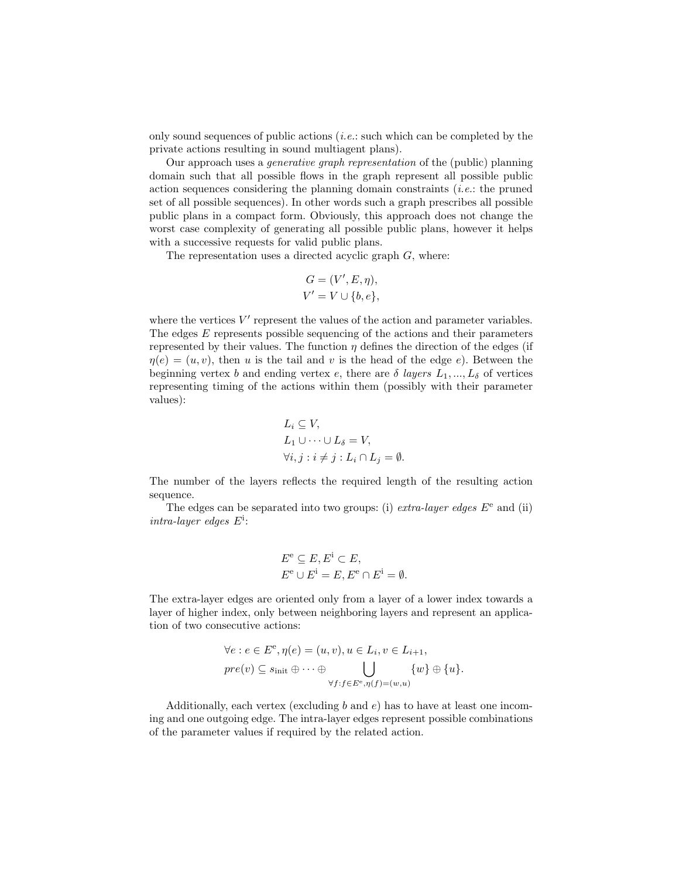only sound sequences of public actions  $(i.e.:$  such which can be completed by the private actions resulting in sound multiagent plans).

Our approach uses a generative graph representation of the (public) planning domain such that all possible flows in the graph represent all possible public action sequences considering the planning domain constraints  $(i.e.:$  the pruned set of all possible sequences). In other words such a graph prescribes all possible public plans in a compact form. Obviously, this approach does not change the worst case complexity of generating all possible public plans, however it helps with a successive requests for valid public plans.

The representation uses a directed acyclic graph  $G$ , where:

$$
G = (V', E, \eta),
$$
  

$$
V' = V \cup \{b, e\},
$$

where the vertices  $V'$  represent the values of the action and parameter variables. The edges E represents possible sequencing of the actions and their parameters represented by their values. The function  $\eta$  defines the direction of the edges (if  $\eta(e) = (u, v)$ , then u is the tail and v is the head of the edge e). Between the beginning vertex b and ending vertex e, there are  $\delta$  layers  $L_1, ..., L_\delta$  of vertices representing timing of the actions within them (possibly with their parameter values):

$$
L_i \subseteq V,
$$
  
\n
$$
L_1 \cup \cdots \cup L_{\delta} = V,
$$
  
\n
$$
\forall i, j : i \neq j : L_i \cap L_j = \emptyset.
$$

The number of the layers reflects the required length of the resulting action sequence.

The edges can be separated into two groups: (i) *extra-layer edges*  $E^e$  and (ii) intra-layer edges  $E^i$ :

$$
E^{e} \subseteq E, E^{i} \subset E,
$$
  

$$
E^{e} \cup E^{i} = E, E^{e} \cap E^{i} = \emptyset.
$$

The extra-layer edges are oriented only from a layer of a lower index towards a layer of higher index, only between neighboring layers and represent an application of two consecutive actions:

$$
\forall e : e \in E^e, \eta(e) = (u, v), u \in L_i, v \in L_{i+1},
$$
  

$$
pre(v) \subseteq s_{\text{init}} \oplus \cdots \oplus \bigcup_{\forall f : f \in E^e, \eta(f) = (w, u)} \{w\} \oplus \{u\}.
$$

Additionally, each vertex (excluding b and  $e$ ) has to have at least one incoming and one outgoing edge. The intra-layer edges represent possible combinations of the parameter values if required by the related action.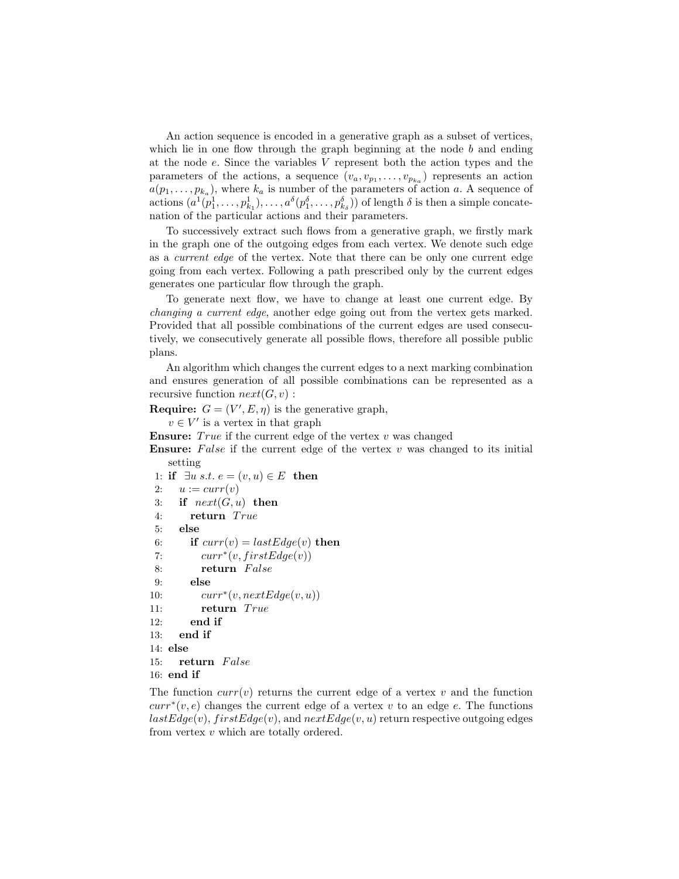An action sequence is encoded in a generative graph as a subset of vertices, which lie in one flow through the graph beginning at the node  $b$  and ending at the node e. Since the variables V represent both the action types and the parameters of the actions, a sequence  $(v_a, v_{p_1}, \ldots, v_{p_{k_a}})$  represents an action  $a(p_1, \ldots, p_{k_a})$ , where  $k_a$  is number of the parameters of action a. A sequence of actions  $(a^1(p_1^1, \ldots, p_{k_1}^1), \ldots, a^{\delta}(p_1^{\delta}, \ldots, p_{k_{\delta}}^{\delta}))$  of length  $\delta$  is then a simple concatenation of the particular actions and their parameters.

To successively extract such flows from a generative graph, we firstly mark in the graph one of the outgoing edges from each vertex. We denote such edge as a current edge of the vertex. Note that there can be only one current edge going from each vertex. Following a path prescribed only by the current edges generates one particular flow through the graph.

To generate next flow, we have to change at least one current edge. By changing a current edge, another edge going out from the vertex gets marked. Provided that all possible combinations of the current edges are used consecutively, we consecutively generate all possible flows, therefore all possible public plans.

An algorithm which changes the current edges to a next marking combination and ensures generation of all possible combinations can be represented as a recursive function  $next(G, v)$ :

**Require:**  $G = (V', E, \eta)$  is the generative graph,

 $v \in V'$  is a vertex in that graph

**Ensure:** True if the current edge of the vertex  $v$  was changed

**Ensure:** False if the current edge of the vertex  $v$  was changed to its initial setting

1: if  $\exists u \ s.t. \ e = (v, u) \in E$  then 2:  $u := curr(v)$ 3: if  $next(G, u)$  then 4: return True 5: else 6: if  $curr(v) = lastEdge(v)$  then 7:  $curr^*(v, firstEdge(v))$ 8: return False 9: else 10:  $curr^*(v, nextEdge(v, u))$ 11: return True 12: end if 13: end if 14: else 15: return False 16: end if

The function  $curr(v)$  returns the current edge of a vertex v and the function  $curr^*(v, e)$  changes the current edge of a vertex v to an edge e. The functions  $lastEdge(v), firstEdge(v),$  and  $nextEdge(v, u)$  return respective outgoing edges from vertex v which are totally ordered.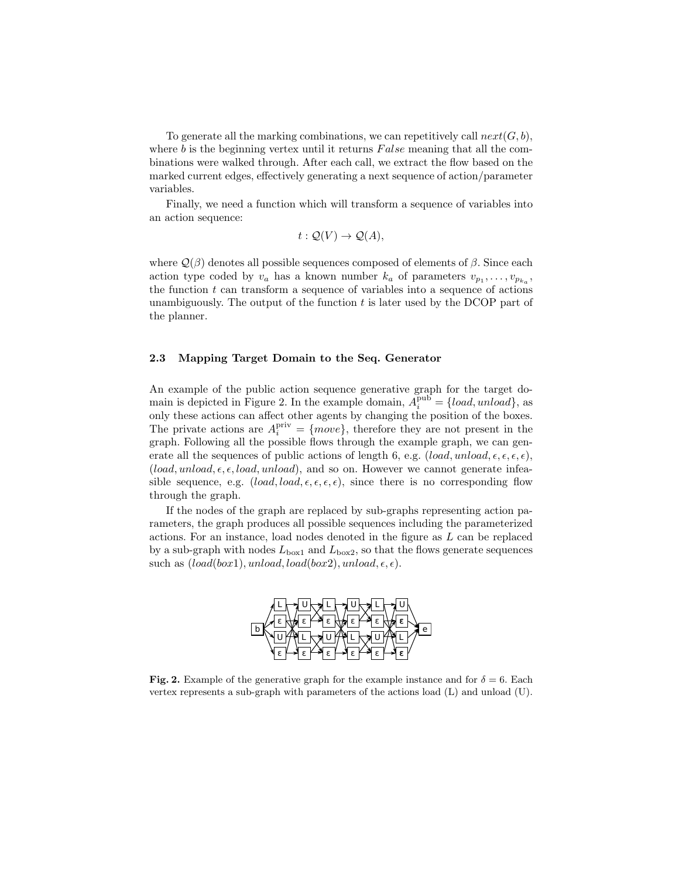To generate all the marking combinations, we can repetitively call  $next(G, b)$ , where b is the beginning vertex until it returns  $False$  meaning that all the combinations were walked through. After each call, we extract the flow based on the marked current edges, effectively generating a next sequence of action/parameter variables.

Finally, we need a function which will transform a sequence of variables into an action sequence:

$$
t: \mathcal{Q}(V) \to \mathcal{Q}(A),
$$

where  $\mathcal{Q}(\beta)$  denotes all possible sequences composed of elements of  $\beta$ . Since each action type coded by  $v_a$  has a known number  $k_a$  of parameters  $v_{p_1}, \ldots, v_{p_{k_a}}$ , the function  $t$  can transform a sequence of variables into a sequence of actions unambiguously. The output of the function  $t$  is later used by the DCOP part of the planner.

# 2.3 Mapping Target Domain to the Seq. Generator

An example of the public action sequence generative graph for the target domain is depicted in Figure 2. In the example domain,  $A_i^{\text{pub}} = \{load, unload\}$ , as only these actions can affect other agents by changing the position of the boxes. The private actions are  $A_i^{\text{priv}} = \{move\}$ , therefore they are not present in the graph. Following all the possible flows through the example graph, we can generate all the sequences of public actions of length 6, e.g.  $(load, unload, \epsilon, \epsilon, \epsilon, \epsilon)$ ,  $(load, unload, \epsilon, \epsilon, load, unload),$  and so on. However we cannot generate infeasible sequence, e.g.  $(load, load, \epsilon, \epsilon, \epsilon)$ , since there is no corresponding flow through the graph.

If the nodes of the graph are replaced by sub-graphs representing action parameters, the graph produces all possible sequences including the parameterized actions. For an instance, load nodes denoted in the figure as L can be replaced by a sub-graph with nodes  $L_{\text{box1}}$  and  $L_{\text{box2}}$ , so that the flows generate sequences such as  $(load(box1), unload, load(box2), unload, \epsilon, \epsilon).$ 



Fig. 2. Example of the generative graph for the example instance and for  $\delta = 6$ . Each vertex represents a sub-graph with parameters of the actions load (L) and unload (U).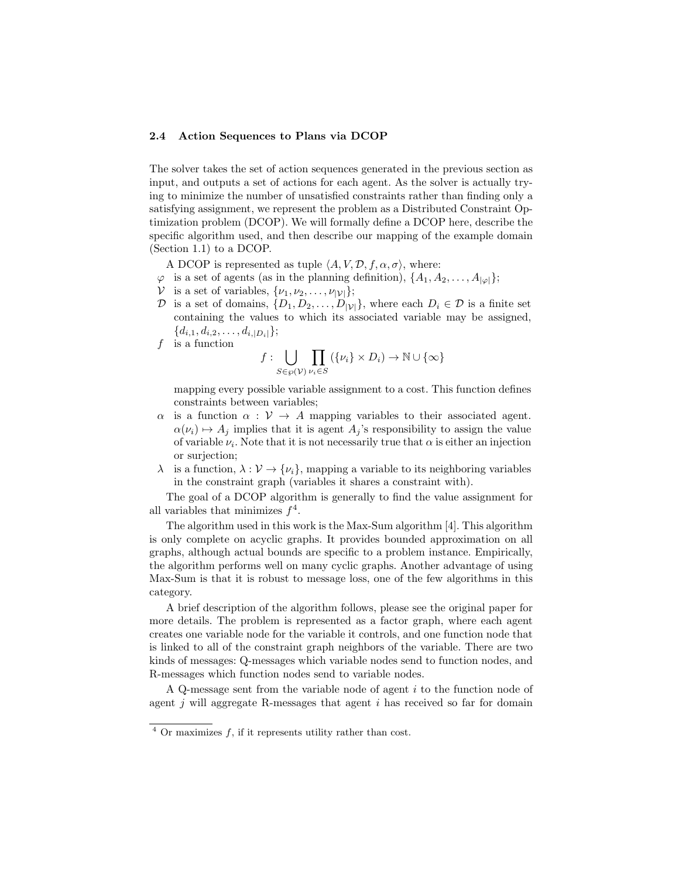## 2.4 Action Sequences to Plans via DCOP

The solver takes the set of action sequences generated in the previous section as input, and outputs a set of actions for each agent. As the solver is actually trying to minimize the number of unsatisfied constraints rather than finding only a satisfying assignment, we represent the problem as a Distributed Constraint Optimization problem (DCOP). We will formally define a DCOP here, describe the specific algorithm used, and then describe our mapping of the example domain (Section 1.1) to a DCOP.

A DCOP is represented as tuple  $\langle A, V, \mathcal{D}, f, \alpha, \sigma \rangle$ , where:

- $\varphi$  is a set of agents (as in the planning definition),  $\{A_1, A_2, \ldots, A_{|\varphi|}\};$
- $V$  is a set of variables,  $\{\nu_1, \nu_2, \ldots, \nu_{|\mathcal{V}|}\};$
- D is a set of domains,  $\{D_1, D_2, \ldots, D_{|\mathcal{V}|}\}\$ , where each  $D_i \in \mathcal{D}$  is a finite set containing the values to which its associated variable may be assigned,  ${d_{i,1}, d_{i,2}, \ldots, d_{i,|D_i|}};$
- $f$  is a function

$$
f: \bigcup_{S \in \wp(\mathcal{V})} \prod_{\nu_i \in S} (\{\nu_i\} \times D_i) \to \mathbb{N} \cup \{\infty\}
$$

mapping every possible variable assignment to a cost. This function defines constraints between variables;

- $\alpha$  is a function  $\alpha : V \to A$  mapping variables to their associated agent.  $\alpha(\nu_i) \mapsto A_j$  implies that it is agent  $A_j$ 's responsibility to assign the value of variable  $\nu_i$ . Note that it is not necessarily true that  $\alpha$  is either an injection or surjection;
- $\lambda$  is a function,  $\lambda : \mathcal{V} \to {\{\nu_i\}}$ , mapping a variable to its neighboring variables in the constraint graph (variables it shares a constraint with).

The goal of a DCOP algorithm is generally to find the value assignment for all variables that minimizes  $f^4$ .

The algorithm used in this work is the Max-Sum algorithm [4]. This algorithm is only complete on acyclic graphs. It provides bounded approximation on all graphs, although actual bounds are specific to a problem instance. Empirically, the algorithm performs well on many cyclic graphs. Another advantage of using Max-Sum is that it is robust to message loss, one of the few algorithms in this category.

A brief description of the algorithm follows, please see the original paper for more details. The problem is represented as a factor graph, where each agent creates one variable node for the variable it controls, and one function node that is linked to all of the constraint graph neighbors of the variable. There are two kinds of messages: Q-messages which variable nodes send to function nodes, and R-messages which function nodes send to variable nodes.

A Q-message sent from the variable node of agent  $i$  to the function node of agent  $j$  will aggregate R-messages that agent  $i$  has received so far for domain

 $4$  Or maximizes f, if it represents utility rather than cost.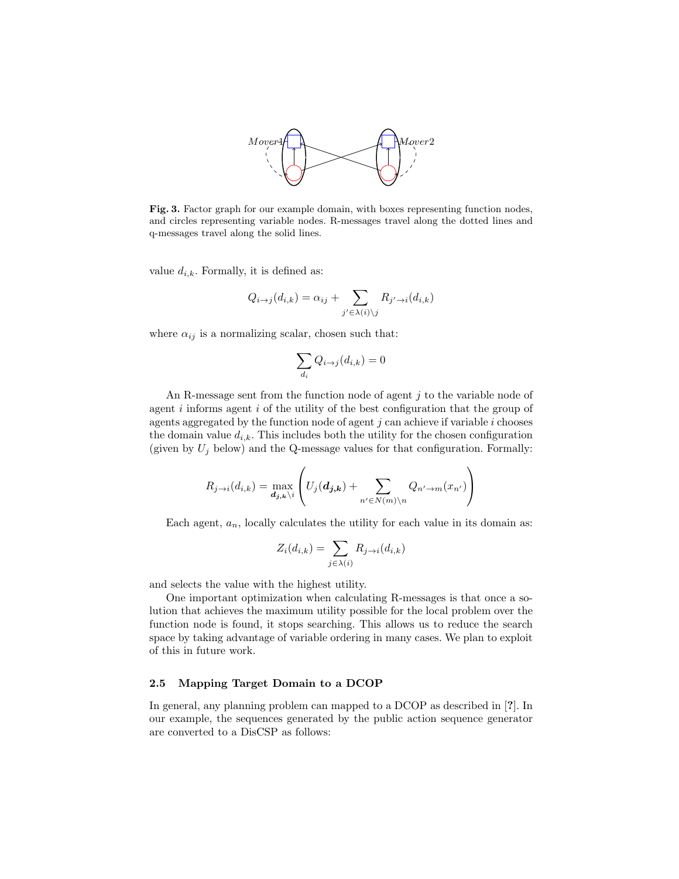

Fig. 3. Factor graph for our example domain, with boxes representing function nodes, and circles representing variable nodes. R-messages travel along the dotted lines and q-messages travel along the solid lines.

value  $d_{i,k}$ . Formally, it is defined as:

$$
Q_{i\to j}(d_{i,k}) = \alpha_{ij} + \sum_{j' \in \lambda(i) \setminus j} R_{j' \to i}(d_{i,k})
$$

where  $\alpha_{ij}$  is a normalizing scalar, chosen such that:

$$
\sum_{d_i} Q_{i \to j}(d_{i,k}) = 0
$$

An R-message sent from the function node of agent j to the variable node of agent  $i$  informs agent  $i$  of the utility of the best configuration that the group of agents aggregated by the function node of agent  $j$  can achieve if variable  $i$  chooses the domain value  $d_{i,k}$ . This includes both the utility for the chosen configuration (given by  $U_j$  below) and the Q-message values for that configuration. Formally:

$$
R_{j \to i}(d_{i,k}) = \max_{\mathbf{d}_{j,\mathbf{k}} \setminus i} \left( U_j(\mathbf{d}_{j,\mathbf{k}}) + \sum_{n' \in N(m) \setminus n} Q_{n' \to m}(x_{n'}) \right)
$$

Each agent,  $a_n$ , locally calculates the utility for each value in its domain as:

$$
Z_i(d_{i,k}) = \sum_{j \in \lambda(i)} R_{j \to i}(d_{i,k})
$$

and selects the value with the highest utility.

One important optimization when calculating R-messages is that once a solution that achieves the maximum utility possible for the local problem over the function node is found, it stops searching. This allows us to reduce the search space by taking advantage of variable ordering in many cases. We plan to exploit of this in future work.

# 2.5 Mapping Target Domain to a DCOP

In general, any planning problem can mapped to a DCOP as described in [?]. In our example, the sequences generated by the public action sequence generator are converted to a DisCSP as follows: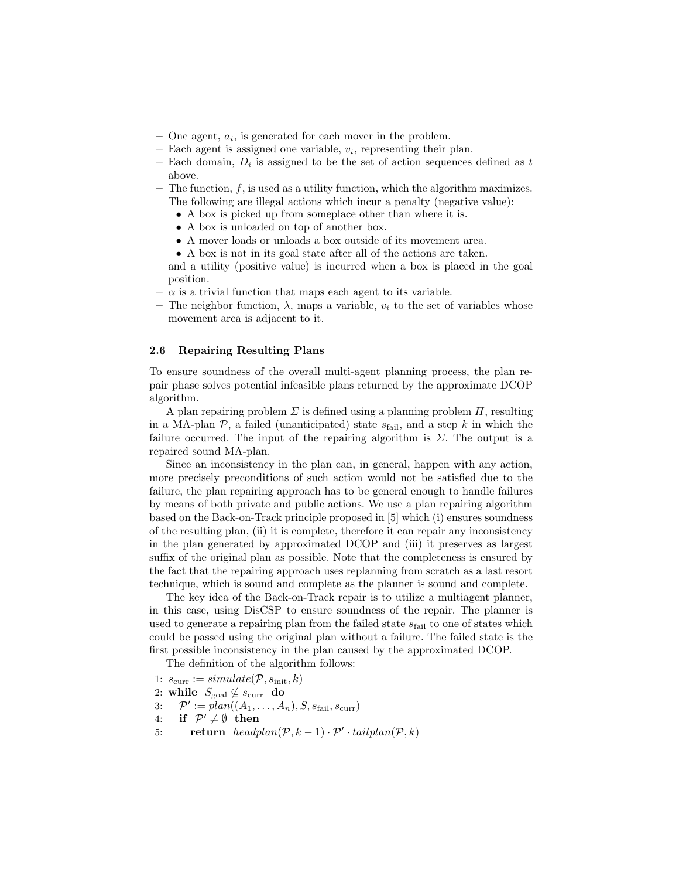- $-$  One agent,  $a_i$ , is generated for each mover in the problem.
- $-$  Each agent is assigned one variable,  $v_i$ , representing their plan.
- Each domain,  $D_i$  is assigned to be the set of action sequences defined as t above.
- $-$  The function,  $f$ , is used as a utility function, which the algorithm maximizes. The following are illegal actions which incur a penalty (negative value):
	- A box is picked up from someplace other than where it is.
	- A box is unloaded on top of another box.
	- A mover loads or unloads a box outside of its movement area.
	- A box is not in its goal state after all of the actions are taken.

and a utility (positive value) is incurred when a box is placed in the goal position.

- $-\alpha$  is a trivial function that maps each agent to its variable.
- The neighbor function,  $\lambda$ , maps a variable,  $v_i$  to the set of variables whose movement area is adjacent to it.

#### 2.6 Repairing Resulting Plans

To ensure soundness of the overall multi-agent planning process, the plan repair phase solves potential infeasible plans returned by the approximate DCOP algorithm.

A plan repairing problem  $\Sigma$  is defined using a planning problem  $\Pi$ , resulting in a MA-plan  $P$ , a failed (unanticipated) state  $s_{\text{fail}}$ , and a step k in which the failure occurred. The input of the repairing algorithm is  $\Sigma$ . The output is a repaired sound MA-plan.

Since an inconsistency in the plan can, in general, happen with any action, more precisely preconditions of such action would not be satisfied due to the failure, the plan repairing approach has to be general enough to handle failures by means of both private and public actions. We use a plan repairing algorithm based on the Back-on-Track principle proposed in [5] which (i) ensures soundness of the resulting plan, (ii) it is complete, therefore it can repair any inconsistency in the plan generated by approximated DCOP and (iii) it preserves as largest suffix of the original plan as possible. Note that the completeness is ensured by the fact that the repairing approach uses replanning from scratch as a last resort technique, which is sound and complete as the planner is sound and complete.

The key idea of the Back-on-Track repair is to utilize a multiagent planner, in this case, using DisCSP to ensure soundness of the repair. The planner is used to generate a repairing plan from the failed state  $s_{\text{fail}}$  to one of states which could be passed using the original plan without a failure. The failed state is the first possible inconsistency in the plan caused by the approximated DCOP.

The definition of the algorithm follows:

- 1:  $s_{\text{curr}} := simulate(\mathcal{P}, s_{\text{init}}, k)$
- 2: while  $S_{\text{goal}} \not\subseteq S_{\text{curr}}$  do
- 3:  $\mathcal{P}' := plan((A_1, \ldots, A_n), S, s_{\text{fail}}, s_{\text{curr}})$
- 4: if  $\mathcal{P}' \neq \emptyset$  then
- 5: return  $headplan(\mathcal{P}, k-1) \cdot \mathcal{P}' \cdot tailplan(\mathcal{P}, k)$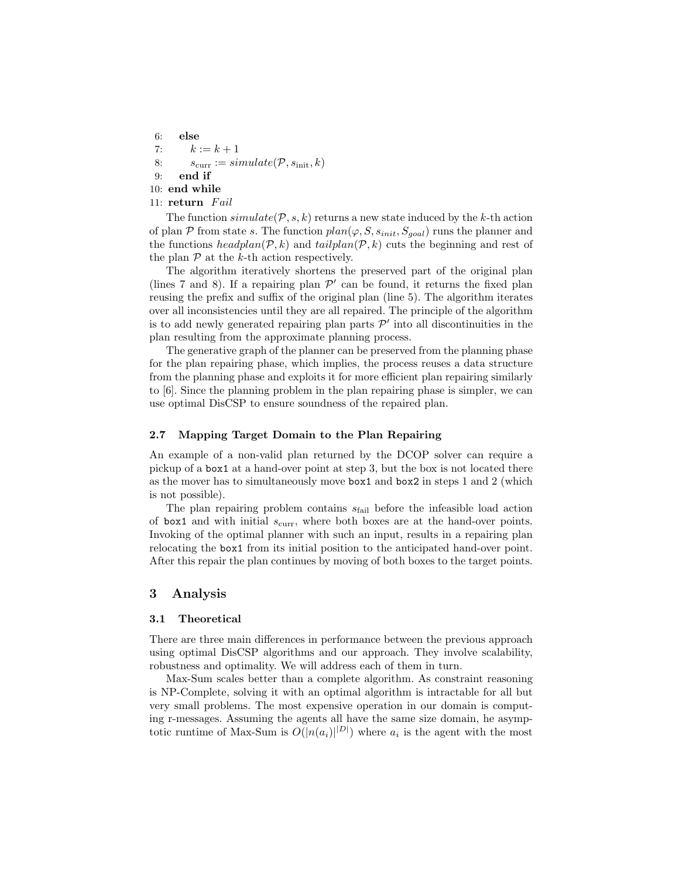6: else 7:  $k := k + 1$ 8:  $s_{\text{curr}} := \text{simulate}(\mathcal{P}, s_{\text{init}}, k)$ 9: end if 10: end while 11: return Fail

The function  $simulate(\mathcal{P}, s, k)$  returns a new state induced by the k-th action of plan P from state s. The function  $plan(\varphi, S, s_{init}, S_{goal})$  runs the planner and the functions  $headplan(\mathcal{P}, k)$  and  $tailplan(\mathcal{P}, k)$  cuts the beginning and rest of the plan  $P$  at the k-th action respectively.

The algorithm iteratively shortens the preserved part of the original plan (lines 7 and 8). If a repairing plan  $\mathcal{P}'$  can be found, it returns the fixed plan reusing the prefix and suffix of the original plan (line 5). The algorithm iterates over all inconsistencies until they are all repaired. The principle of the algorithm is to add newly generated repairing plan parts  $\mathcal{P}'$  into all discontinuities in the plan resulting from the approximate planning process.

The generative graph of the planner can be preserved from the planning phase for the plan repairing phase, which implies, the process reuses a data structure from the planning phase and exploits it for more efficient plan repairing similarly to [6]. Since the planning problem in the plan repairing phase is simpler, we can use optimal DisCSP to ensure soundness of the repaired plan.

## 2.7 Mapping Target Domain to the Plan Repairing

An example of a non-valid plan returned by the DCOP solver can require a pickup of a box1 at a hand-over point at step 3, but the box is not located there as the mover has to simultaneously move box1 and box2 in steps 1 and 2 (which is not possible).

The plan repairing problem contains  $s_{\text{fail}}$  before the infeasible load action of box1 and with initial  $s_{\text{curr}}$ , where both boxes are at the hand-over points. Invoking of the optimal planner with such an input, results in a repairing plan relocating the box1 from its initial position to the anticipated hand-over point. After this repair the plan continues by moving of both boxes to the target points.

## 3 Analysis

#### 3.1 Theoretical

There are three main differences in performance between the previous approach using optimal DisCSP algorithms and our approach. They involve scalability, robustness and optimality. We will address each of them in turn.

Max-Sum scales better than a complete algorithm. As constraint reasoning is NP-Complete, solving it with an optimal algorithm is intractable for all but very small problems. The most expensive operation in our domain is computing r-messages. Assuming the agents all have the same size domain, he asymptotic runtime of Max-Sum is  $O(|n(a_i)||^{D|})$  where  $a_i$  is the agent with the most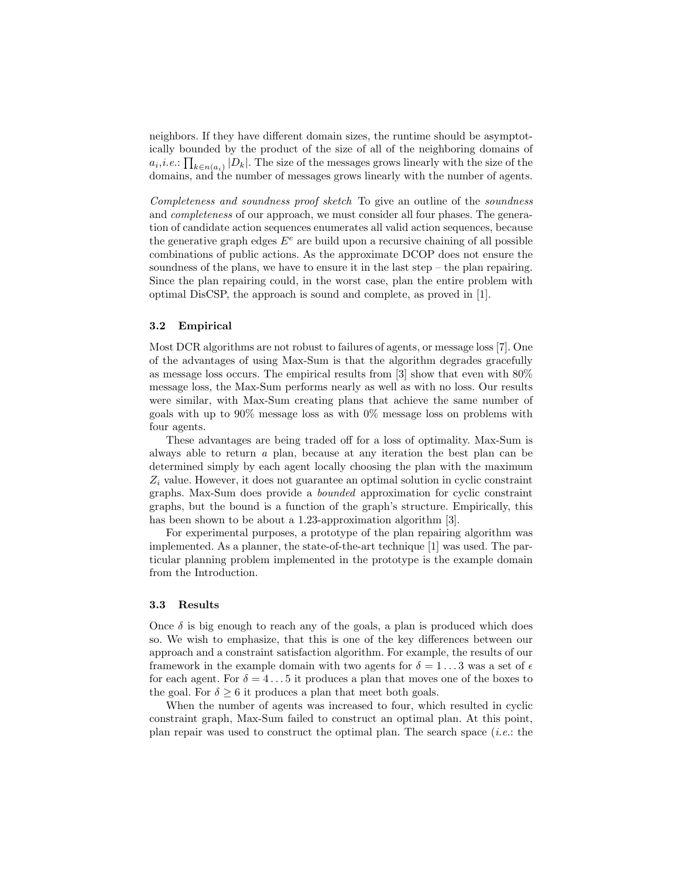neighbors. If they have different domain sizes, the runtime should be asymptotically bounded by the product of the size of all of the neighboring domains of  $a_i, i.e., \prod_{k \in n(a_i)} |D_k|$ . The size of the messages grows linearly with the size of the domains, and the number of messages grows linearly with the number of agents.

Completeness and soundness proof sketch. To give an outline of the soundness and completeness of our approach, we must consider all four phases. The generation of candidate action sequences enumerates all valid action sequences, because the generative graph edges  $E^e$  are build upon a recursive chaining of all possible combinations of public actions. As the approximate DCOP does not ensure the soundness of the plans, we have to ensure it in the last step – the plan repairing. Since the plan repairing could, in the worst case, plan the entire problem with optimal DisCSP, the approach is sound and complete, as proved in [1].

## 3.2 Empirical

Most DCR algorithms are not robust to failures of agents, or message loss [7]. One of the advantages of using Max-Sum is that the algorithm degrades gracefully as message loss occurs. The empirical results from [3] show that even with 80% message loss, the Max-Sum performs nearly as well as with no loss. Our results were similar, with Max-Sum creating plans that achieve the same number of goals with up to 90% message loss as with 0% message loss on problems with four agents.

These advantages are being traded off for a loss of optimality. Max-Sum is always able to return a plan, because at any iteration the best plan can be determined simply by each agent locally choosing the plan with the maximum  $Z_i$  value. However, it does not guarantee an optimal solution in cyclic constraint graphs. Max-Sum does provide a bounded approximation for cyclic constraint graphs, but the bound is a function of the graph's structure. Empirically, this has been shown to be about a 1.23-approximation algorithm [3].

For experimental purposes, a prototype of the plan repairing algorithm was implemented. As a planner, the state-of-the-art technique [1] was used. The particular planning problem implemented in the prototype is the example domain from the Introduction.

## 3.3 Results

Once  $\delta$  is big enough to reach any of the goals, a plan is produced which does so. We wish to emphasize, that this is one of the key differences between our approach and a constraint satisfaction algorithm. For example, the results of our framework in the example domain with two agents for  $\delta = 1 \dots 3$  was a set of  $\epsilon$ for each agent. For  $\delta = 4 \dots 5$  it produces a plan that moves one of the boxes to the goal. For  $\delta \geq 6$  it produces a plan that meet both goals.

When the number of agents was increased to four, which resulted in cyclic constraint graph, Max-Sum failed to construct an optimal plan. At this point, plan repair was used to construct the optimal plan. The search space  $(i.e.:$  the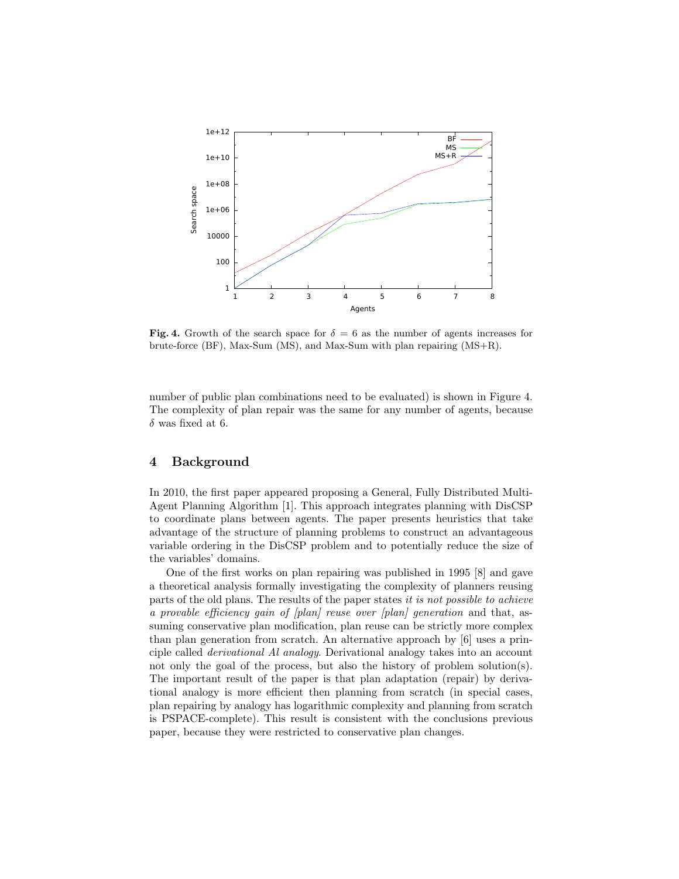

Fig. 4. Growth of the search space for  $\delta = 6$  as the number of agents increases for brute-force (BF), Max-Sum (MS), and Max-Sum with plan repairing (MS+R).

number of public plan combinations need to be evaluated) is shown in Figure 4. The complexity of plan repair was the same for any number of agents, because  $\delta$  was fixed at 6.

# 4 Background

In 2010, the first paper appeared proposing a General, Fully Distributed Multi-Agent Planning Algorithm [1]. This approach integrates planning with DisCSP to coordinate plans between agents. The paper presents heuristics that take advantage of the structure of planning problems to construct an advantageous variable ordering in the DisCSP problem and to potentially reduce the size of the variables' domains.

One of the first works on plan repairing was published in 1995 [8] and gave a theoretical analysis formally investigating the complexity of planners reusing parts of the old plans. The results of the paper states it is not possible to achieve a provable efficiency gain of [plan] reuse over [plan] generation and that, assuming conservative plan modification, plan reuse can be strictly more complex than plan generation from scratch. An alternative approach by [6] uses a principle called derivational Al analogy. Derivational analogy takes into an account not only the goal of the process, but also the history of problem solution(s). The important result of the paper is that plan adaptation (repair) by derivational analogy is more efficient then planning from scratch (in special cases, plan repairing by analogy has logarithmic complexity and planning from scratch is PSPACE-complete). This result is consistent with the conclusions previous paper, because they were restricted to conservative plan changes.